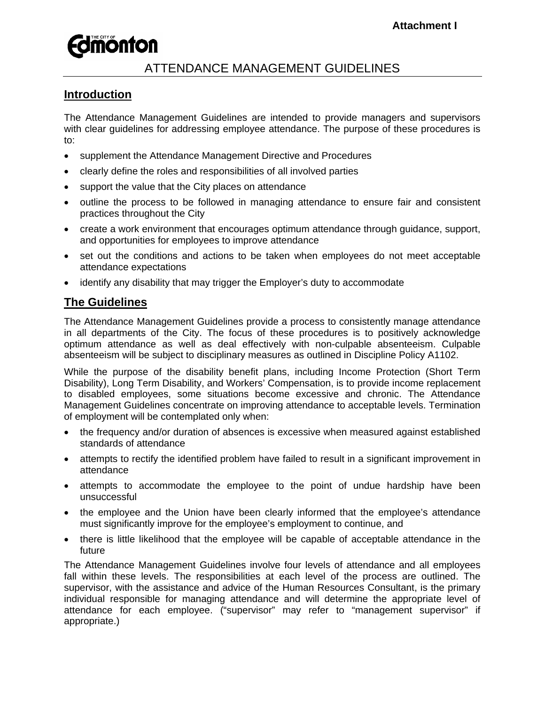# ATTENDANCE MANAGEMENT GUIDELINES

## **Introduction**

The Attendance Management Guidelines are intended to provide managers and supervisors with clear guidelines for addressing employee attendance. The purpose of these procedures is to:

- supplement the Attendance Management Directive and Procedures
- clearly define the roles and responsibilities of all involved parties
- support the value that the City places on attendance
- outline the process to be followed in managing attendance to ensure fair and consistent practices throughout the City
- create a work environment that encourages optimum attendance through guidance, support, and opportunities for employees to improve attendance
- set out the conditions and actions to be taken when employees do not meet acceptable attendance expectations
- identify any disability that may trigger the Employer's duty to accommodate

# **The Guidelines**

The Attendance Management Guidelines provide a process to consistently manage attendance in all departments of the City. The focus of these procedures is to positively acknowledge optimum attendance as well as deal effectively with non-culpable absenteeism. Culpable absenteeism will be subject to disciplinary measures as outlined in Discipline Policy A1102.

While the purpose of the disability benefit plans, including Income Protection (Short Term Disability), Long Term Disability, and Workers' Compensation, is to provide income replacement to disabled employees, some situations become excessive and chronic. The Attendance Management Guidelines concentrate on improving attendance to acceptable levels. Termination of employment will be contemplated only when:

- the frequency and/or duration of absences is excessive when measured against established standards of attendance
- attempts to rectify the identified problem have failed to result in a significant improvement in attendance
- attempts to accommodate the employee to the point of undue hardship have been unsuccessful
- the employee and the Union have been clearly informed that the employee's attendance must significantly improve for the employee's employment to continue, and
- there is little likelihood that the employee will be capable of acceptable attendance in the future

The Attendance Management Guidelines involve four levels of attendance and all employees fall within these levels. The responsibilities at each level of the process are outlined. The supervisor, with the assistance and advice of the Human Resources Consultant, is the primary individual responsible for managing attendance and will determine the appropriate level of attendance for each employee. ("supervisor" may refer to "management supervisor" if appropriate.)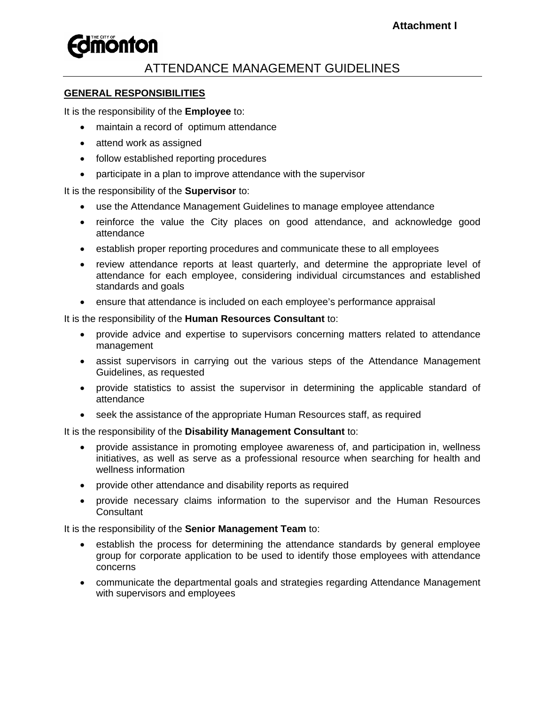# ATTENDANCE MANAGEMENT GUIDELINES

### **GENERAL RESPONSIBILITIES**

It is the responsibility of the **Employee** to:

- maintain a record of optimum attendance
- attend work as assigned
- follow established reporting procedures
- participate in a plan to improve attendance with the supervisor

It is the responsibility of the **Supervisor** to:

- use the Attendance Management Guidelines to manage employee attendance
- reinforce the value the City places on good attendance, and acknowledge good attendance
- establish proper reporting procedures and communicate these to all employees
- review attendance reports at least quarterly, and determine the appropriate level of attendance for each employee, considering individual circumstances and established standards and goals
- ensure that attendance is included on each employee's performance appraisal

It is the responsibility of the **Human Resources Consultant** to:

- provide advice and expertise to supervisors concerning matters related to attendance management
- assist supervisors in carrying out the various steps of the Attendance Management Guidelines, as requested
- provide statistics to assist the supervisor in determining the applicable standard of attendance
- seek the assistance of the appropriate Human Resources staff, as required

It is the responsibility of the **Disability Management Consultant** to:

- provide assistance in promoting employee awareness of, and participation in, wellness initiatives, as well as serve as a professional resource when searching for health and wellness information
- provide other attendance and disability reports as required
- provide necessary claims information to the supervisor and the Human Resources **Consultant**

It is the responsibility of the **Senior Management Team** to:

- establish the process for determining the attendance standards by general employee group for corporate application to be used to identify those employees with attendance concerns
- communicate the departmental goals and strategies regarding Attendance Management with supervisors and employees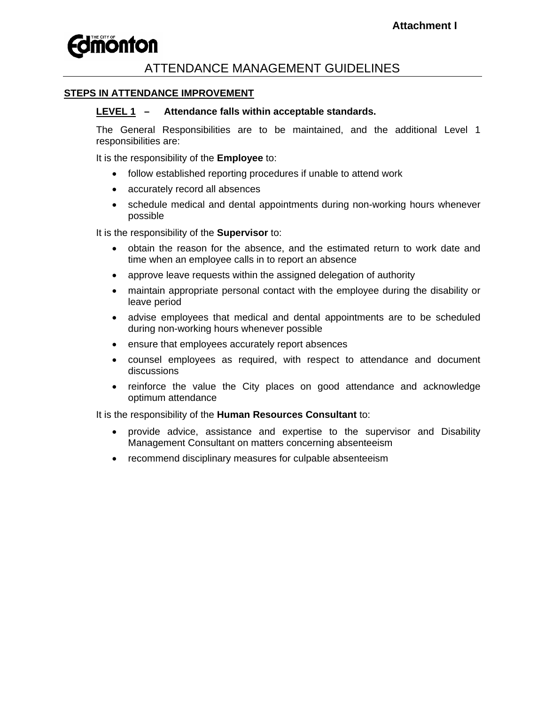# **Fomonton**

### ATTENDANCE MANAGEMENT GUIDELINES

### **STEPS IN ATTENDANCE IMPROVEMENT**

#### **LEVEL 1 – Attendance falls within acceptable standards.**

The General Responsibilities are to be maintained, and the additional Level 1 responsibilities are:

It is the responsibility of the **Employee** to:

- follow established reporting procedures if unable to attend work
- accurately record all absences
- schedule medical and dental appointments during non-working hours whenever possible

It is the responsibility of the **Supervisor** to:

- obtain the reason for the absence, and the estimated return to work date and time when an employee calls in to report an absence
- approve leave requests within the assigned delegation of authority
- maintain appropriate personal contact with the employee during the disability or leave period
- advise employees that medical and dental appointments are to be scheduled during non-working hours whenever possible
- ensure that employees accurately report absences
- counsel employees as required, with respect to attendance and document discussions
- reinforce the value the City places on good attendance and acknowledge optimum attendance

It is the responsibility of the **Human Resources Consultant** to:

- provide advice, assistance and expertise to the supervisor and Disability Management Consultant on matters concerning absenteeism
- recommend disciplinary measures for culpable absenteeism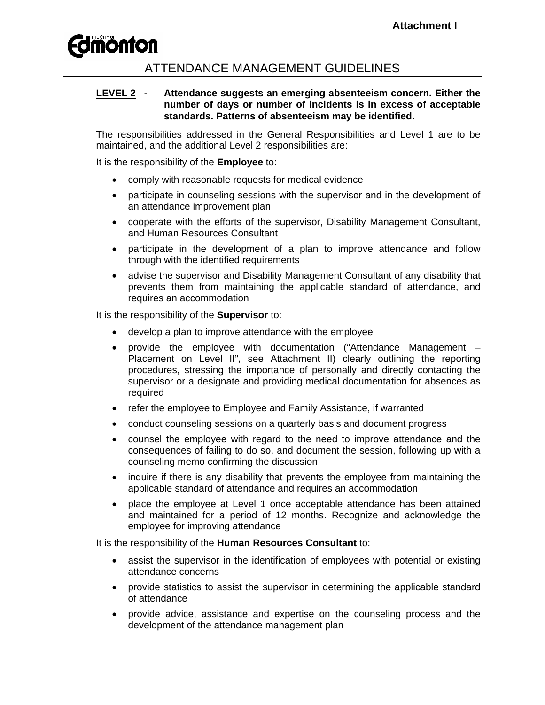# ATTENDANCE MANAGEMENT GUIDELINES

### **LEVEL 2 - Attendance suggests an emerging absenteeism concern. Either the number of days or number of incidents is in excess of acceptable standards. Patterns of absenteeism may be identified.**

The responsibilities addressed in the General Responsibilities and Level 1 are to be maintained, and the additional Level 2 responsibilities are:

It is the responsibility of the **Employee** to:

- comply with reasonable requests for medical evidence
- participate in counseling sessions with the supervisor and in the development of an attendance improvement plan
- cooperate with the efforts of the supervisor, Disability Management Consultant, and Human Resources Consultant
- participate in the development of a plan to improve attendance and follow through with the identified requirements
- advise the supervisor and Disability Management Consultant of any disability that prevents them from maintaining the applicable standard of attendance, and requires an accommodation

It is the responsibility of the **Supervisor** to:

- develop a plan to improve attendance with the employee
- provide the employee with documentation ("Attendance Management Placement on Level II", see Attachment II) clearly outlining the reporting procedures, stressing the importance of personally and directly contacting the supervisor or a designate and providing medical documentation for absences as required
- refer the employee to Employee and Family Assistance, if warranted
- conduct counseling sessions on a quarterly basis and document progress
- counsel the employee with regard to the need to improve attendance and the consequences of failing to do so, and document the session, following up with a counseling memo confirming the discussion
- inquire if there is any disability that prevents the employee from maintaining the applicable standard of attendance and requires an accommodation
- place the employee at Level 1 once acceptable attendance has been attained and maintained for a period of 12 months. Recognize and acknowledge the employee for improving attendance

It is the responsibility of the **Human Resources Consultant** to:

- assist the supervisor in the identification of employees with potential or existing attendance concerns
- provide statistics to assist the supervisor in determining the applicable standard of attendance
- provide advice, assistance and expertise on the counseling process and the development of the attendance management plan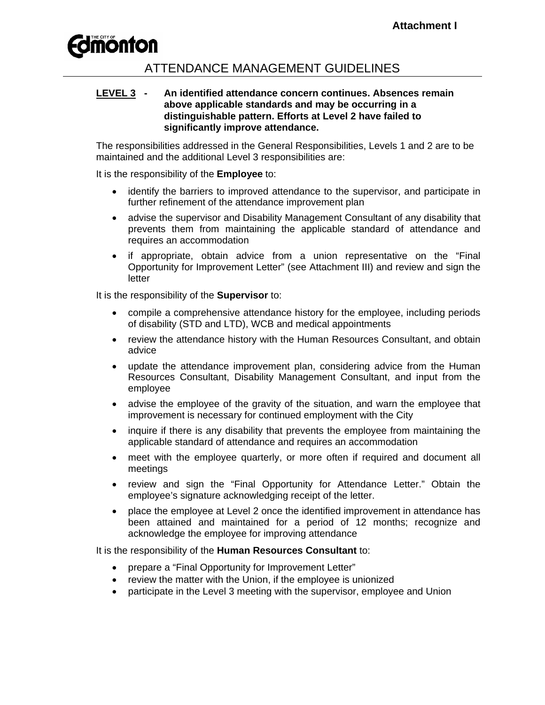

### ATTENDANCE MANAGEMENT GUIDELINES

#### **LEVEL 3 - An identified attendance concern continues. Absences remain above applicable standards and may be occurring in a distinguishable pattern. Efforts at Level 2 have failed to significantly improve attendance.**

The responsibilities addressed in the General Responsibilities, Levels 1 and 2 are to be maintained and the additional Level 3 responsibilities are:

It is the responsibility of the **Employee** to:

- identify the barriers to improved attendance to the supervisor, and participate in further refinement of the attendance improvement plan
- advise the supervisor and Disability Management Consultant of any disability that prevents them from maintaining the applicable standard of attendance and requires an accommodation
- if appropriate, obtain advice from a union representative on the "Final Opportunity for Improvement Letter" (see Attachment III) and review and sign the letter

It is the responsibility of the **Supervisor** to:

- compile a comprehensive attendance history for the employee, including periods of disability (STD and LTD), WCB and medical appointments
- review the attendance history with the Human Resources Consultant, and obtain advice
- update the attendance improvement plan, considering advice from the Human Resources Consultant, Disability Management Consultant, and input from the employee
- advise the employee of the gravity of the situation, and warn the employee that improvement is necessary for continued employment with the City
- inquire if there is any disability that prevents the employee from maintaining the applicable standard of attendance and requires an accommodation
- meet with the employee quarterly, or more often if required and document all meetings
- review and sign the "Final Opportunity for Attendance Letter." Obtain the employee's signature acknowledging receipt of the letter.
- place the employee at Level 2 once the identified improvement in attendance has been attained and maintained for a period of 12 months; recognize and acknowledge the employee for improving attendance

It is the responsibility of the **Human Resources Consultant** to:

- prepare a "Final Opportunity for Improvement Letter"
- review the matter with the Union, if the employee is unionized
- participate in the Level 3 meeting with the supervisor, employee and Union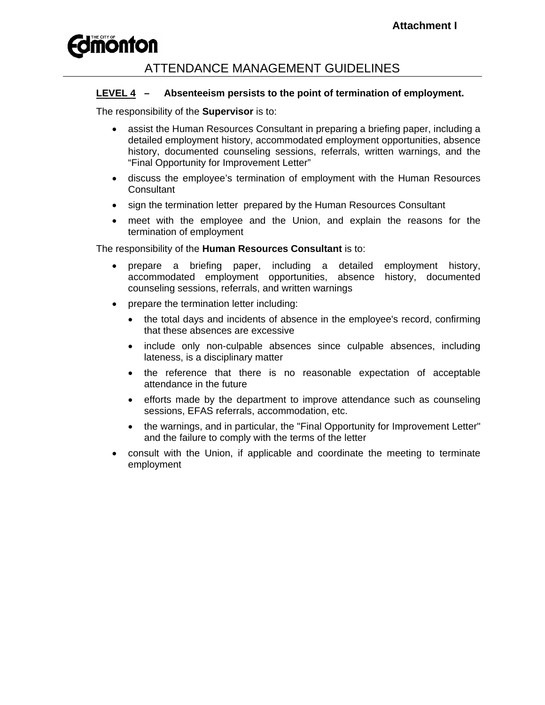# ATTENDANCE MANAGEMENT GUIDELINES

### **LEVEL 4 – Absenteeism persists to the point of termination of employment.**

The responsibility of the **Supervisor** is to:

- assist the Human Resources Consultant in preparing a briefing paper, including a detailed employment history, accommodated employment opportunities, absence history, documented counseling sessions, referrals, written warnings, and the "Final Opportunity for Improvement Letter"
- discuss the employee's termination of employment with the Human Resources **Consultant**
- sign the termination letter prepared by the Human Resources Consultant
- meet with the employee and the Union, and explain the reasons for the termination of employment

The responsibility of the **Human Resources Consultant** is to:

- prepare a briefing paper, including a detailed employment history, accommodated employment opportunities, absence history, documented counseling sessions, referrals, and written warnings
- prepare the termination letter including:
	- the total days and incidents of absence in the employee's record, confirming that these absences are excessive
	- include only non-culpable absences since culpable absences, including lateness, is a disciplinary matter
	- the reference that there is no reasonable expectation of acceptable attendance in the future
	- efforts made by the department to improve attendance such as counseling sessions, EFAS referrals, accommodation, etc.
	- the warnings, and in particular, the "Final Opportunity for Improvement Letter" and the failure to comply with the terms of the letter
- consult with the Union, if applicable and coordinate the meeting to terminate employment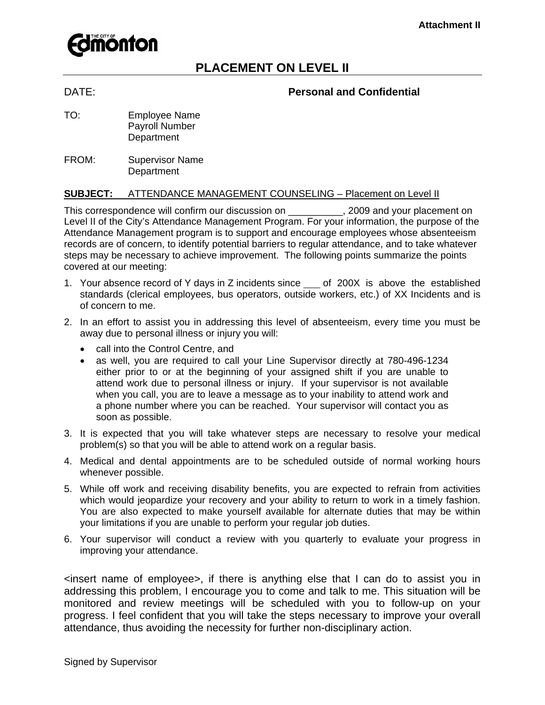

# **PLACEMENT ON LEVEL II**

### DATE: **Personal and Confidential**

- TO: Employee Name Payroll Number **Department**
- FROM: Supervisor Name **Department**

#### **SUBJECT:** ATTENDANCE MANAGEMENT COUNSELING – Placement on Level II

This correspondence will confirm our discussion on \_\_\_\_\_\_\_\_\_\_, 2009 and your placement on Level II of the City's Attendance Management Program. For your information, the purpose of the Attendance Management program is to support and encourage employees whose absenteeism records are of concern, to identify potential barriers to regular attendance, and to take whatever steps may be necessary to achieve improvement. The following points summarize the points covered at our meeting:

- 1. Your absence record of Y days in Z incidents since \_\_\_ of 200X is above the established standards (clerical employees, bus operators, outside workers, etc.) of XX Incidents and is of concern to me.
- 2. In an effort to assist you in addressing this level of absenteeism, every time you must be away due to personal illness or injury you will:
	- call into the Control Centre, and
	- as well, you are required to call your Line Supervisor directly at 780-496-1234 either prior to or at the beginning of your assigned shift if you are unable to attend work due to personal illness or injury. If your supervisor is not available when you call, you are to leave a message as to your inability to attend work and a phone number where you can be reached. Your supervisor will contact you as soon as possible.
- 3. It is expected that you will take whatever steps are necessary to resolve your medical problem(s) so that you will be able to attend work on a regular basis.
- 4. Medical and dental appointments are to be scheduled outside of normal working hours whenever possible.
- 5. While off work and receiving disability benefits, you are expected to refrain from activities which would jeopardize your recovery and your ability to return to work in a timely fashion. You are also expected to make yourself available for alternate duties that may be within your limitations if you are unable to perform your regular job duties.
- 6. Your supervisor will conduct a review with you quarterly to evaluate your progress in improving your attendance.

<insert name of employee>, if there is anything else that I can do to assist you in addressing this problem, I encourage you to come and talk to me. This situation will be monitored and review meetings will be scheduled with you to follow-up on your progress. I feel confident that you will take the steps necessary to improve your overall attendance, thus avoiding the necessity for further non-disciplinary action.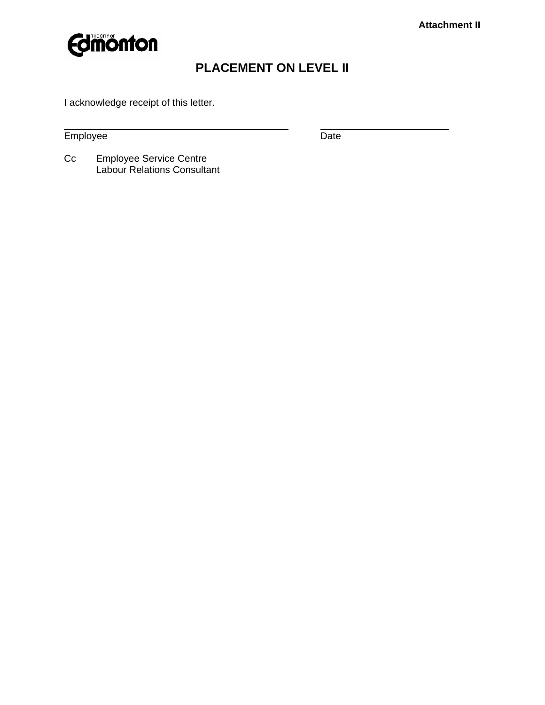

# **PLACEMENT ON LEVEL II**

I acknowledge receipt of this letter.

Employee Date Date Date

 $\overline{a}$ 

Cc Employee Service Centre Labour Relations Consultant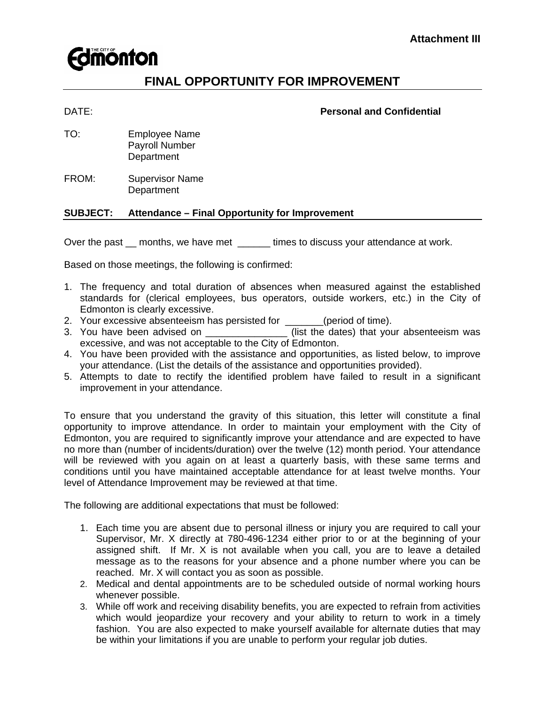

# **FINAL OPPORTUNITY FOR IMPROVEMENT**

#### DATE: **Personal and Confidential**

- TO: Employee Name Payroll Number **Department**
- FROM: Supervisor Name **Department**

#### **SUBJECT: Attendance – Final Opportunity for Improvement**

Over the past \_\_ months, we have met \_\_\_\_\_\_ times to discuss your attendance at work.

Based on those meetings, the following is confirmed:

- 1. The frequency and total duration of absences when measured against the established standards for (clerical employees, bus operators, outside workers, etc.) in the City of Edmonton is clearly excessive.
- 2. Your excessive absenteeism has persisted for \_\_\_\_\_\_\_(period of time).
- 3. You have been advised on \_\_\_\_\_\_\_\_\_\_\_\_\_\_\_\_(list the dates) that your absenteeism was excessive, and was not acceptable to the City of Edmonton.
- 4. You have been provided with the assistance and opportunities, as listed below, to improve your attendance. (List the details of the assistance and opportunities provided).
- 5. Attempts to date to rectify the identified problem have failed to result in a significant improvement in your attendance.

To ensure that you understand the gravity of this situation, this letter will constitute a final opportunity to improve attendance. In order to maintain your employment with the City of Edmonton, you are required to significantly improve your attendance and are expected to have no more than (number of incidents/duration) over the twelve (12) month period. Your attendance will be reviewed with you again on at least a quarterly basis, with these same terms and conditions until you have maintained acceptable attendance for at least twelve months. Your level of Attendance Improvement may be reviewed at that time.

The following are additional expectations that must be followed:

- 1. Each time you are absent due to personal illness or injury you are required to call your Supervisor, Mr. X directly at 780-496-1234 either prior to or at the beginning of your assigned shift. If Mr. X is not available when you call, you are to leave a detailed message as to the reasons for your absence and a phone number where you can be reached. Mr. X will contact you as soon as possible.
- 2. Medical and dental appointments are to be scheduled outside of normal working hours whenever possible.
- 3. While off work and receiving disability benefits, you are expected to refrain from activities which would jeopardize your recovery and your ability to return to work in a timely fashion. You are also expected to make yourself available for alternate duties that may be within your limitations if you are unable to perform your regular job duties.